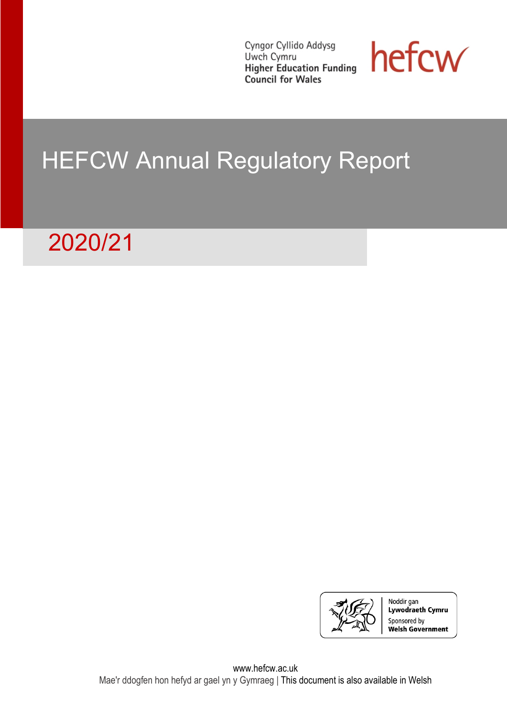Cyngor Cyllido Addysg Uwch Cymru **UWCrl Cymru**<br>**Higher Education Funding** Council for Wales



# HEFCW Annual Regulatory Report

# 2020/21

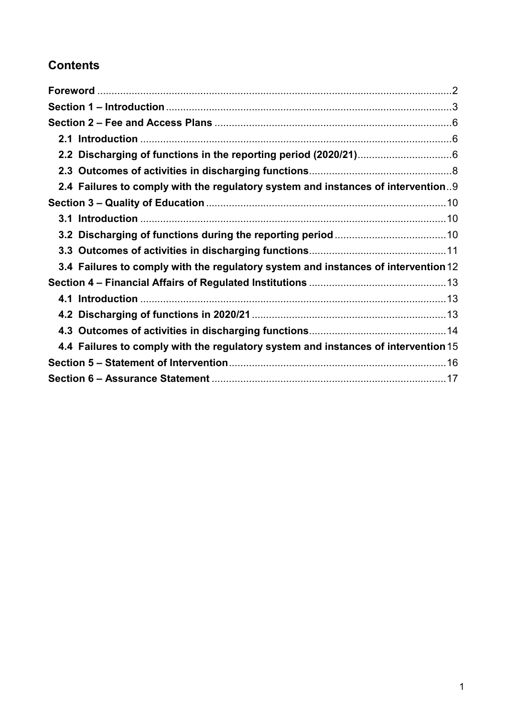# **Contents**

| 2.4 Failures to comply with the regulatory system and instances of intervention9   |  |
|------------------------------------------------------------------------------------|--|
|                                                                                    |  |
|                                                                                    |  |
|                                                                                    |  |
|                                                                                    |  |
| 3.4 Failures to comply with the regulatory system and instances of intervention 12 |  |
|                                                                                    |  |
|                                                                                    |  |
|                                                                                    |  |
|                                                                                    |  |
| 4.4 Failures to comply with the regulatory system and instances of intervention 15 |  |
|                                                                                    |  |
|                                                                                    |  |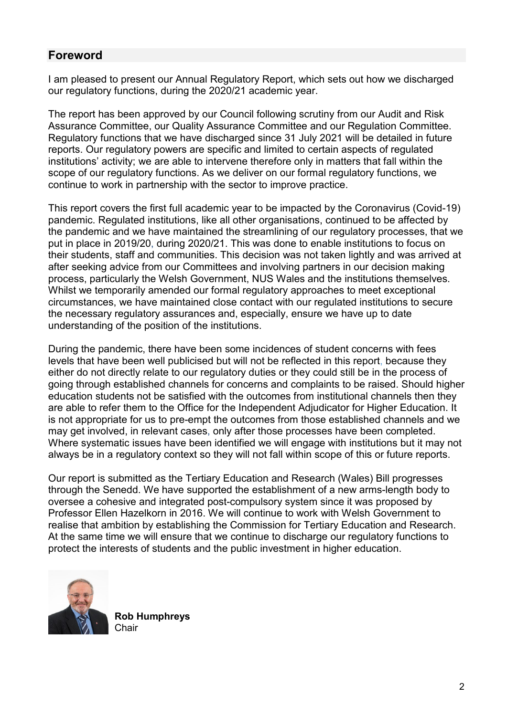# <span id="page-2-0"></span>**Foreword**

I am pleased to present our Annual Regulatory Report, which sets out how we discharged our regulatory functions, during the 2020/21 academic year.

The report has been approved by our Council following scrutiny from our Audit and Risk Assurance Committee, our Quality Assurance Committee and our Regulation Committee. Regulatory functions that we have discharged since 31 July 2021 will be detailed in future reports. Our regulatory powers are specific and limited to certain aspects of regulated institutions' activity; we are able to intervene therefore only in matters that fall within the scope of our regulatory functions. As we deliver on our formal regulatory functions, we continue to work in partnership with the sector to improve practice.

This report covers the first full academic year to be impacted by the Coronavirus (Covid-19) pandemic. Regulated institutions, like all other organisations, continued to be affected by the pandemic and we have maintained the streamlining of our regulatory processes, that we put in place in 2019/20, during 2020/21. This was done to enable institutions to focus on their students, staff and communities. This decision was not taken lightly and was arrived at after seeking advice from our Committees and involving partners in our decision making process, particularly the Welsh Government, NUS Wales and the institutions themselves. Whilst we temporarily amended our formal regulatory approaches to meet exceptional circumstances, we have maintained close contact with our regulated institutions to secure the necessary regulatory assurances and, especially, ensure we have up to date understanding of the position of the institutions.

During the pandemic, there have been some incidences of student concerns with fees levels that have been well publicised but will not be reflected in this report, because they either do not directly relate to our regulatory duties or they could still be in the process of going through established channels for concerns and complaints to be raised. Should higher education students not be satisfied with the outcomes from institutional channels then they are able to refer them to the Office for the Independent Adjudicator for Higher Education. It is not appropriate for us to pre-empt the outcomes from those established channels and we may get involved, in relevant cases, only after those processes have been completed. Where systematic issues have been identified we will engage with institutions but it may not always be in a regulatory context so they will not fall within scope of this or future reports.

Our report is submitted as the Tertiary Education and Research (Wales) Bill progresses through the Senedd. We have supported the establishment of a new arms-length body to oversee a cohesive and integrated post-compulsory system since it was proposed by Professor Ellen Hazelkorn in 2016. We will continue to work with Welsh Government to realise that ambition by establishing the Commission for Tertiary Education and Research. At the same time we will ensure that we continue to discharge our regulatory functions to protect the interests of students and the public investment in higher education.



**Rob Humphreys Chair**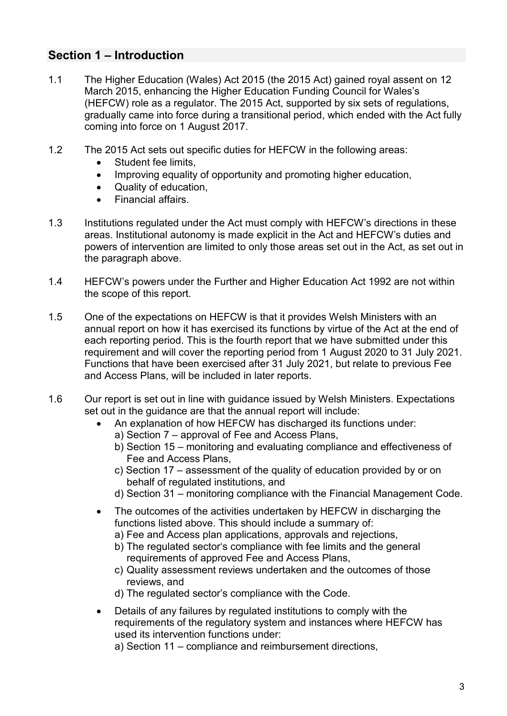# <span id="page-3-0"></span>**Section 1 – Introduction**

- 1.1 The Higher Education (Wales) Act 2015 (the 2015 Act) gained royal assent on 12 March 2015, enhancing the Higher Education Funding Council for Wales's (HEFCW) role as a regulator. The 2015 Act, supported by six sets of regulations, gradually came into force during a transitional period, which ended with the Act fully coming into force on 1 August 2017.
- 1.2 The 2015 Act sets out specific duties for HEFCW in the following areas:
	- Student fee limits.
	- Improving equality of opportunity and promoting higher education,
	- Quality of education,
	- Financial affairs.
- 1.3 Institutions regulated under the Act must comply with HEFCW's directions in these areas. Institutional autonomy is made explicit in the Act and HEFCW's duties and powers of intervention are limited to only those areas set out in the Act, as set out in the paragraph above.
- 1.4 HEFCW's powers under the Further and Higher Education Act 1992 are not within the scope of this report.
- 1.5 One of the expectations on HEFCW is that it provides Welsh Ministers with an annual report on how it has exercised its functions by virtue of the Act at the end of each reporting period. This is the fourth report that we have submitted under this requirement and will cover the reporting period from 1 August 2020 to 31 July 2021. Functions that have been exercised after 31 July 2021, but relate to previous Fee and Access Plans, will be included in later reports.
- 1.6 Our report is set out in line with guidance issued by Welsh Ministers. Expectations set out in the guidance are that the annual report will include:
	- An explanation of how HEFCW has discharged its functions under:
		- a) Section 7 approval of Fee and Access Plans,
		- b) Section 15 monitoring and evaluating compliance and effectiveness of Fee and Access Plans,
		- c) Section 17 assessment of the quality of education provided by or on behalf of regulated institutions, and
		- d) Section 31 monitoring compliance with the Financial Management Code.
	- The outcomes of the activities undertaken by HEFCW in discharging the functions listed above. This should include a summary of:
		- a) Fee and Access plan applications, approvals and rejections,
		- b) The regulated sector's compliance with fee limits and the general requirements of approved Fee and Access Plans,
		- c) Quality assessment reviews undertaken and the outcomes of those reviews, and
		- d) The regulated sector's compliance with the Code.
	- Details of any failures by regulated institutions to comply with the requirements of the regulatory system and instances where HEFCW has used its intervention functions under:
		- a) Section 11 compliance and reimbursement directions,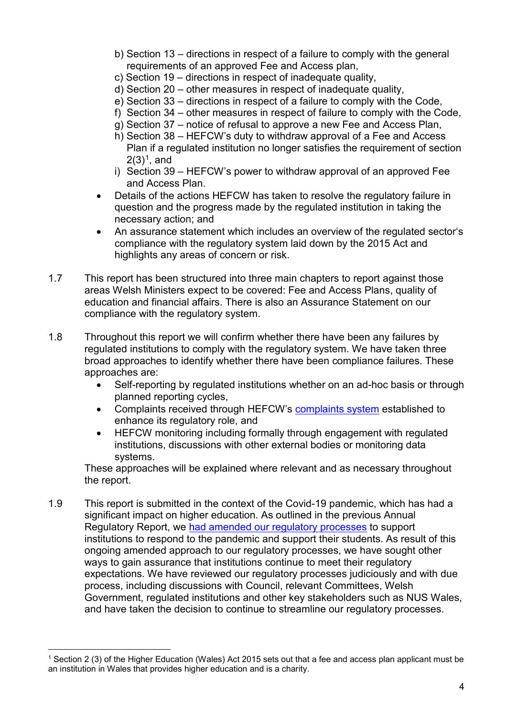- b) Section 13 directions in respect of a failure to comply with the general requirements of an approved Fee and Access plan,
- c) Section 19 directions in respect of inadequate quality,
- d) Section 20 other measures in respect of inadequate quality,
- e) Section 33 directions in respect of a failure to comply with the Code,
- f) Section 34 other measures in respect of failure to comply with the Code,
- g) Section 37 notice of refusal to approve a new Fee and Access Plan,
- h) Section 38 HEFCW's duty to withdraw approval of a Fee and Access Plan if a regulated institution no longer satisfies the requirement of section  $2(3)^{1}$  $2(3)^{1}$  $2(3)^{1}$ , and
- i) Section 39 HEFCW's power to withdraw approval of an approved Fee and Access Plan.
- Details of the actions HEFCW has taken to resolve the regulatory failure in question and the progress made by the regulated institution in taking the necessary action; and
- An assurance statement which includes an overview of the regulated sector's compliance with the regulatory system laid down by the 2015 Act and highlights any areas of concern or risk.
- 1.7 This report has been structured into three main chapters to report against those areas Welsh Ministers expect to be covered: Fee and Access Plans, quality of education and financial affairs. There is also an Assurance Statement on our compliance with the regulatory system.
- 1.8 Throughout this report we will confirm whether there have been any failures by regulated institutions to comply with the regulatory system. We have taken three broad approaches to identify whether there have been compliance failures. These approaches are:
	- Self-reporting by regulated institutions whether on an ad-hoc basis or through planned reporting cycles,
	- Complaints received through HEFCW's [complaints system](https://www.hefcw.ac.uk/en/regulation/complaints-about-regulated-institutions/) established to enhance its regulatory role, and
	- HEFCW monitoring including formally through engagement with regulated institutions, discussions with other external bodies or monitoring data systems.

These approaches will be explained where relevant and as necessary throughout the report.

1.9 This report is submitted in the context of the Covid-19 pandemic, which has had a significant impact on higher education. As outlined in the previous Annual Regulatory Report, we [had amended our regulatory processes](https://www.hefcw.ac.uk/en/publications/circulars/w20-11he-covid-19-impact-on-higher-education-providers/) to support institutions to respond to the pandemic and support their students. As result of this ongoing amended approach to our regulatory processes, we have sought other ways to gain assurance that institutions continue to meet their regulatory expectations. We have reviewed our regulatory processes judiciously and with due process, including discussions with Council, relevant Committees, Welsh Government, regulated institutions and other key stakeholders such as NUS Wales, and have taken the decision to continue to streamline our regulatory processes.

<span id="page-4-0"></span> <sup>1</sup> Section 2 (3) of the Higher Education (Wales) Act 2015 sets out that a fee and access plan applicant must be an institution in Wales that provides higher education and is a charity.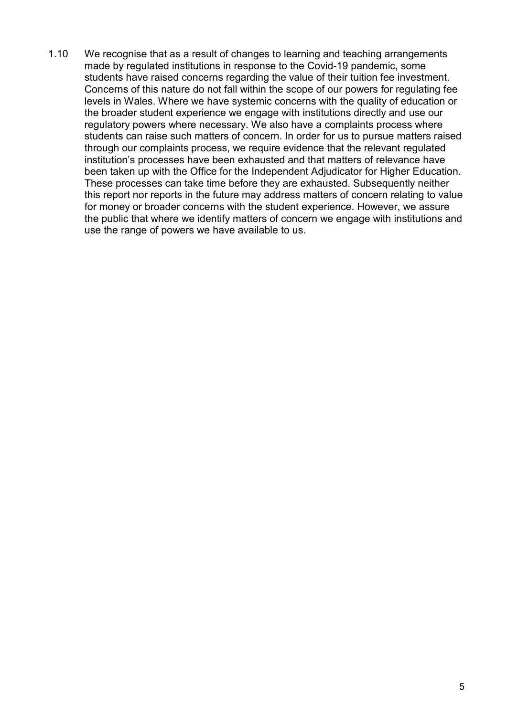1.10 We recognise that as a result of changes to learning and teaching arrangements made by regulated institutions in response to the Covid-19 pandemic, some students have raised concerns regarding the value of their tuition fee investment. Concerns of this nature do not fall within the scope of our powers for regulating fee levels in Wales. Where we have systemic concerns with the quality of education or the broader student experience we engage with institutions directly and use our regulatory powers where necessary. We also have a complaints process where students can raise such matters of concern. In order for us to pursue matters raised through our complaints process, we require evidence that the relevant regulated institution's processes have been exhausted and that matters of relevance have been taken up with the Office for the Independent Adjudicator for Higher Education. These processes can take time before they are exhausted. Subsequently neither this report nor reports in the future may address matters of concern relating to value for money or broader concerns with the student experience. However, we assure the public that where we identify matters of concern we engage with institutions and use the range of powers we have available to us.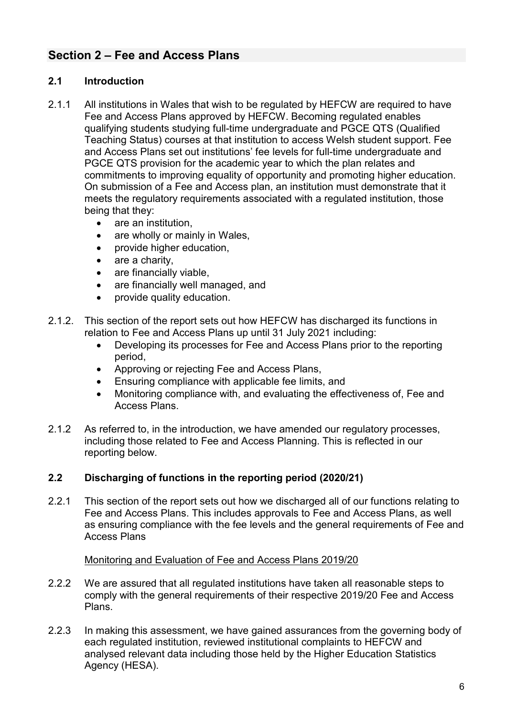# <span id="page-6-0"></span>**Section 2 – Fee and Access Plans**

# <span id="page-6-1"></span>**2.1 Introduction**

- 2.1.1 All institutions in Wales that wish to be regulated by HEFCW are required to have Fee and Access Plans approved by HEFCW. Becoming regulated enables qualifying students studying full-time undergraduate and PGCE QTS (Qualified Teaching Status) courses at that institution to access Welsh student support. Fee and Access Plans set out institutions' fee levels for full-time undergraduate and PGCE QTS provision for the academic year to which the plan relates and commitments to improving equality of opportunity and promoting higher education. On submission of a Fee and Access plan, an institution must demonstrate that it meets the regulatory requirements associated with a regulated institution, those being that they:
	- are an institution,
	- are wholly or mainly in Wales,
	- provide higher education,
	- are a charity.
	- are financially viable,
	- are financially well managed, and
	- provide quality education.
- 2.1.2. This section of the report sets out how HEFCW has discharged its functions in relation to Fee and Access Plans up until 31 July 2021 including:
	- Developing its processes for Fee and Access Plans prior to the reporting period,
	- Approving or rejecting Fee and Access Plans,
	- Ensuring compliance with applicable fee limits, and
	- Monitoring compliance with, and evaluating the effectiveness of, Fee and Access Plans.
- 2.1.2 As referred to, in the introduction, we have amended our regulatory processes, including those related to Fee and Access Planning. This is reflected in our reporting below.

## <span id="page-6-2"></span>**2.2 Discharging of functions in the reporting period (2020/21)**

2.2.1 This section of the report sets out how we discharged all of our functions relating to Fee and Access Plans. This includes approvals to Fee and Access Plans, as well as ensuring compliance with the fee levels and the general requirements of Fee and Access Plans

#### Monitoring and Evaluation of Fee and Access Plans 2019/20

- 2.2.2 We are assured that all regulated institutions have taken all reasonable steps to comply with the general requirements of their respective 2019/20 Fee and Access Plans.
- 2.2.3 In making this assessment, we have gained assurances from the governing body of each regulated institution, reviewed institutional complaints to HEFCW and analysed relevant data including those held by the Higher Education Statistics Agency (HESA).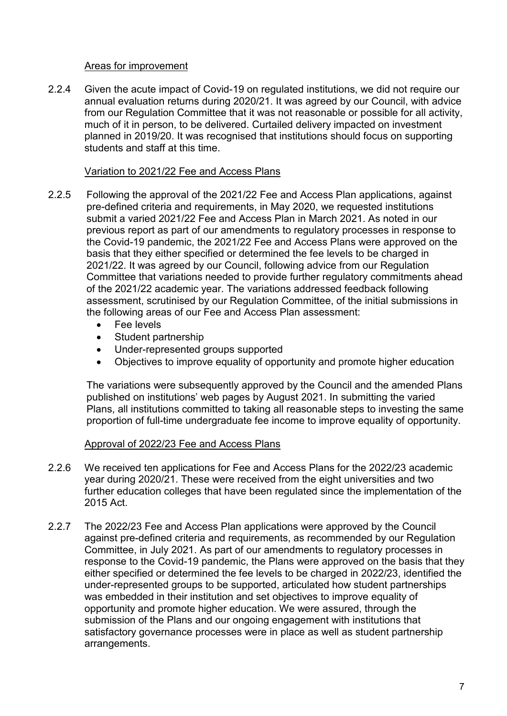#### Areas for improvement

2.2.4 Given the acute impact of Covid-19 on regulated institutions, we did not require our annual evaluation returns during 2020/21. It was agreed by our Council, with advice from our Regulation Committee that it was not reasonable or possible for all activity, much of it in person, to be delivered. Curtailed delivery impacted on investment planned in 2019/20. It was recognised that institutions should focus on supporting students and staff at this time.

#### Variation to 2021/22 Fee and Access Plans

- 2.2.5 Following the approval of the 2021/22 Fee and Access Plan applications, against pre-defined criteria and requirements, in May 2020, we requested institutions submit a varied 2021/22 Fee and Access Plan in March 2021. As noted in our previous report as part of our amendments to regulatory processes in response to the Covid-19 pandemic, the 2021/22 Fee and Access Plans were approved on the basis that they either specified or determined the fee levels to be charged in 2021/22. It was agreed by our Council, following advice from our Regulation Committee that variations needed to provide further regulatory commitments ahead of the 2021/22 academic year. The variations addressed feedback following assessment, scrutinised by our Regulation Committee, of the initial submissions in the following areas of our Fee and Access Plan assessment:
	- Fee levels
	- Student partnership
	- Under-represented groups supported
	- Objectives to improve equality of opportunity and promote higher education

The variations were subsequently approved by the Council and the amended Plans published on institutions' web pages by August 2021. In submitting the varied Plans, all institutions committed to taking all reasonable steps to investing the same proportion of full-time undergraduate fee income to improve equality of opportunity.

## Approval of 2022/23 Fee and Access Plans

- 2.2.6 We received ten applications for Fee and Access Plans for the 2022/23 academic year during 2020/21. These were received from the eight universities and two further education colleges that have been regulated since the implementation of the 2015 Act.
- 2.2.7 The 2022/23 Fee and Access Plan applications were approved by the Council against pre-defined criteria and requirements, as recommended by our Regulation Committee, in July 2021. As part of our amendments to regulatory processes in response to the Covid-19 pandemic, the Plans were approved on the basis that they either specified or determined the fee levels to be charged in 2022/23, identified the under-represented groups to be supported, articulated how student partnerships was embedded in their institution and set objectives to improve equality of opportunity and promote higher education. We were assured, through the submission of the Plans and our ongoing engagement with institutions that satisfactory governance processes were in place as well as student partnership arrangements.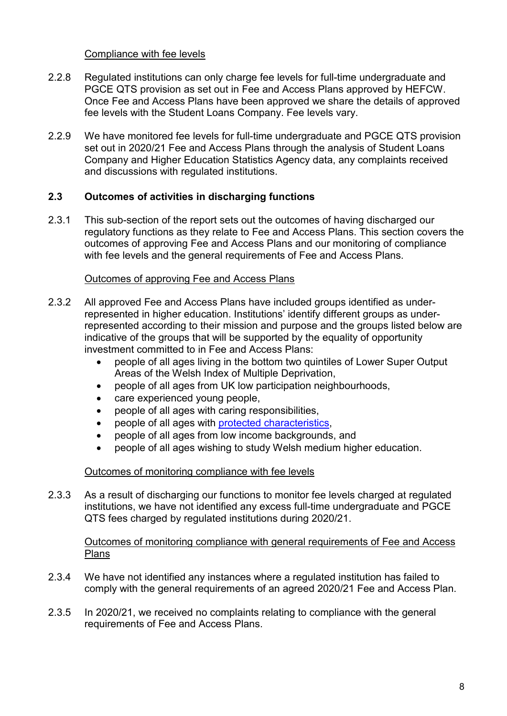#### Compliance with fee levels

- 2.2.8 Regulated institutions can only charge fee levels for full-time undergraduate and PGCE QTS provision as set out in Fee and Access Plans approved by HEFCW. Once Fee and Access Plans have been approved we share the details of approved fee levels with the Student Loans Company. Fee levels vary.
- 2.2.9 We have monitored fee levels for full-time undergraduate and PGCE QTS provision set out in 2020/21 Fee and Access Plans through the analysis of Student Loans Company and Higher Education Statistics Agency data, any complaints received and discussions with regulated institutions.

## <span id="page-8-0"></span>**2.3 Outcomes of activities in discharging functions**

2.3.1 This sub-section of the report sets out the outcomes of having discharged our regulatory functions as they relate to Fee and Access Plans. This section covers the outcomes of approving Fee and Access Plans and our monitoring of compliance with fee levels and the general requirements of Fee and Access Plans.

## Outcomes of approving Fee and Access Plans

- 2.3.2 All approved Fee and Access Plans have included groups identified as underrepresented in higher education. Institutions' identify different groups as underrepresented according to their mission and purpose and the groups listed below are indicative of the groups that will be supported by the equality of opportunity investment committed to in Fee and Access Plans:
	- people of all ages living in the bottom two quintiles of Lower Super Output Areas of the Welsh Index of Multiple Deprivation,
	- people of all ages from UK low participation neighbourhoods,
	- care experienced young people,
	- people of all ages with caring responsibilities,
	- people of all ages with [protected characteristics,](https://www.equalityhumanrights.com/en/equality-act/protected-characteristics)
	- people of all ages from low income backgrounds, and
	- people of all ages wishing to study Welsh medium higher education.

## Outcomes of monitoring compliance with fee levels

2.3.3 As a result of discharging our functions to monitor fee levels charged at regulated institutions, we have not identified any excess full-time undergraduate and PGCE QTS fees charged by regulated institutions during 2020/21.

#### Outcomes of monitoring compliance with general requirements of Fee and Access Plans

- 2.3.4 We have not identified any instances where a regulated institution has failed to comply with the general requirements of an agreed 2020/21 Fee and Access Plan.
- 2.3.5 In 2020/21, we received no complaints relating to compliance with the general requirements of Fee and Access Plans.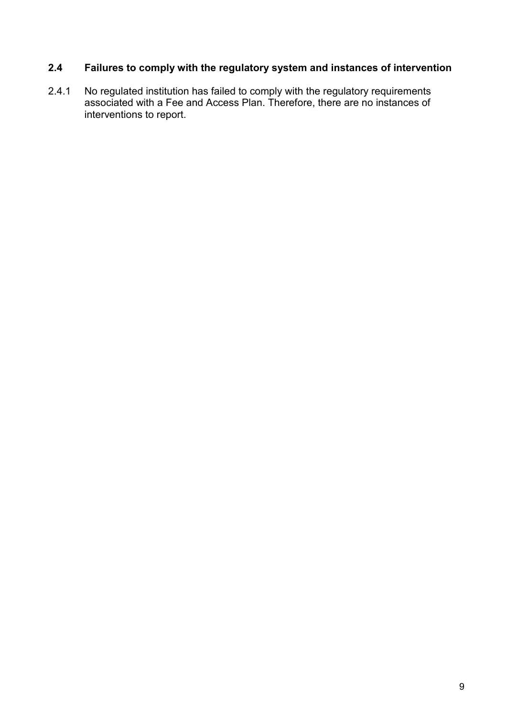# <span id="page-9-0"></span>**2.4 Failures to comply with the regulatory system and instances of intervention**

2.4.1 No regulated institution has failed to comply with the regulatory requirements associated with a Fee and Access Plan. Therefore, there are no instances of interventions to report.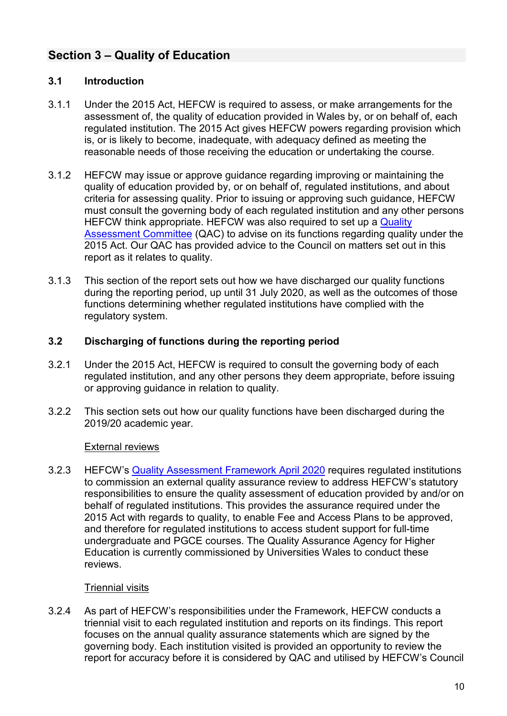# <span id="page-10-0"></span>**Section 3 – Quality of Education**

# <span id="page-10-1"></span>**3.1 Introduction**

- 3.1.1 Under the 2015 Act, HEFCW is required to assess, or make arrangements for the assessment of, the quality of education provided in Wales by, or on behalf of, each regulated institution. The 2015 Act gives HEFCW powers regarding provision which is, or is likely to become, inadequate, with adequacy defined as meeting the reasonable needs of those receiving the education or undertaking the course.
- 3.1.2 HEFCW may issue or approve guidance regarding improving or maintaining the quality of education provided by, or on behalf of, regulated institutions, and about criteria for assessing quality. Prior to issuing or approving such guidance, HEFCW must consult the governing body of each regulated institution and any other persons HEFCW think appropriate. HEFCW was also required to set up a Quality [Assessment Committee](https://www.hefcw.ac.uk/en/about-us/governance/committees/) (QAC) to advise on its functions regarding quality under the 2015 Act. Our QAC has provided advice to the Council on matters set out in this report as it relates to quality.
- 3.1.3 This section of the report sets out how we have discharged our quality functions during the reporting period, up until 31 July 2020, as well as the outcomes of those functions determining whether regulated institutions have complied with the regulatory system.

## <span id="page-10-2"></span>**3.2 Discharging of functions during the reporting period**

- 3.2.1 Under the 2015 Act, HEFCW is required to consult the governing body of each regulated institution, and any other persons they deem appropriate, before issuing or approving guidance in relation to quality.
- 3.2.2 This section sets out how our quality functions have been discharged during the 2019/20 academic year.

## External reviews

3.2.3 HEFCW's [Quality Assessment Framework](https://www.hefcw.ac.uk/en/document/qaf-april-2020-english/) April 2020 requires regulated institutions to commission an external quality assurance review to address HEFCW's statutory responsibilities to ensure the quality assessment of education provided by and/or on behalf of regulated institutions. This provides the assurance required under the 2015 Act with regards to quality, to enable Fee and Access Plans to be approved, and therefore for regulated institutions to access student support for full-time undergraduate and PGCE courses. The Quality Assurance Agency for Higher Education is currently commissioned by Universities Wales to conduct these reviews.

## Triennial visits

3.2.4 As part of HEFCW's responsibilities under the Framework, HEFCW conducts a triennial visit to each regulated institution and reports on its findings. This report focuses on the annual quality assurance statements which are signed by the governing body. Each institution visited is provided an opportunity to review the report for accuracy before it is considered by QAC and utilised by HEFCW's Council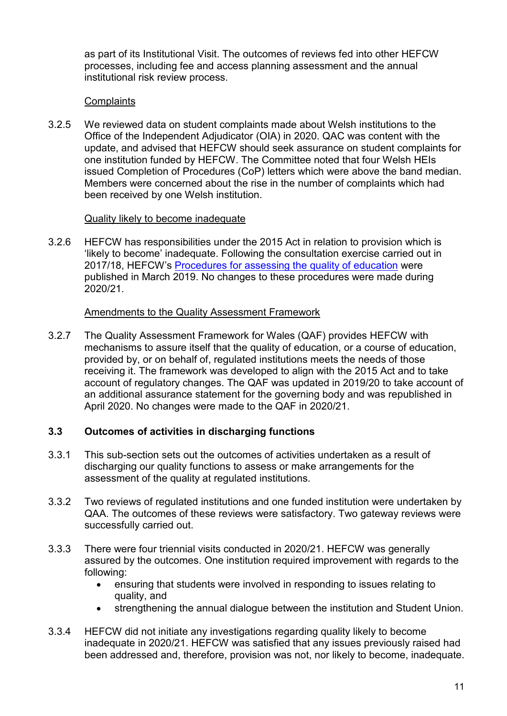as part of its Institutional Visit. The outcomes of reviews fed into other HEFCW processes, including fee and access planning assessment and the annual institutional risk review process.

#### **Complaints**

3.2.5 We reviewed data on student complaints made about Welsh institutions to the Office of the Independent Adjudicator (OIA) in 2020. QAC was content with the update, and advised that HEFCW should seek assurance on student complaints for one institution funded by HEFCW. The Committee noted that four Welsh HEIs issued Completion of Procedures (CoP) letters which were above the band median. Members were concerned about the rise in the number of complaints which had been received by one Welsh institution.

#### Quality likely to become inadequate

3.2.6 HEFCW has responsibilities under the 2015 Act in relation to provision which is 'likely to become' inadequate. Following the consultation exercise carried out in 2017/18, HEFCW's [Procedures for assessing the quality of education](https://www.hefcw.ac.uk/en/publications/circulars/w19-05he-procedures-for-assessing-the-quality-of-education/) were published in March 2019. No changes to these procedures were made during 2020/21.

#### Amendments to the Quality Assessment Framework

3.2.7 The Quality Assessment Framework for Wales (QAF) provides HEFCW with mechanisms to assure itself that the quality of education, or a course of education, provided by, or on behalf of, regulated institutions meets the needs of those receiving it. The framework was developed to align with the 2015 Act and to take account of regulatory changes. The QAF was updated in 2019/20 to take account of an additional assurance statement for the governing body and was republished in April 2020. No changes were made to the QAF in 2020/21.

#### <span id="page-11-0"></span>**3.3 Outcomes of activities in discharging functions**

- 3.3.1 This sub-section sets out the outcomes of activities undertaken as a result of discharging our quality functions to assess or make arrangements for the assessment of the quality at regulated institutions.
- 3.3.2 Two reviews of regulated institutions and one funded institution were undertaken by QAA. The outcomes of these reviews were satisfactory. Two gateway reviews were successfully carried out.
- 3.3.3 There were four triennial visits conducted in 2020/21. HEFCW was generally assured by the outcomes. One institution required improvement with regards to the following:
	- ensuring that students were involved in responding to issues relating to quality, and
	- strengthening the annual dialogue between the institution and Student Union.
- 3.3.4 HEFCW did not initiate any investigations regarding quality likely to become inadequate in 2020/21. HEFCW was satisfied that any issues previously raised had been addressed and, therefore, provision was not, nor likely to become, inadequate.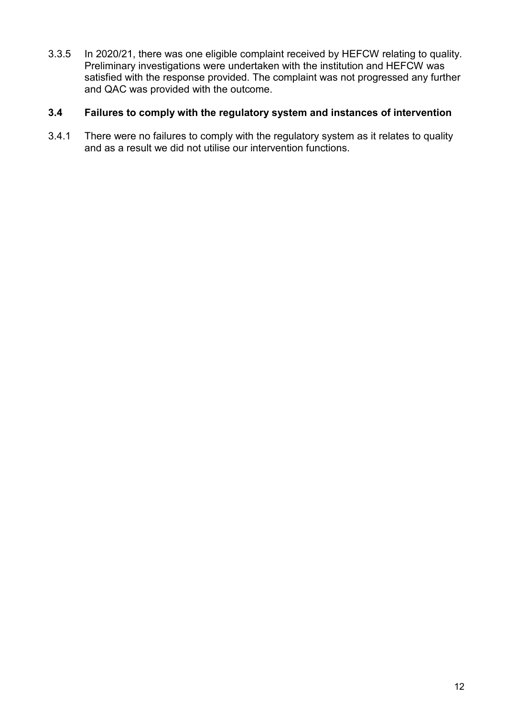3.3.5 In 2020/21, there was one eligible complaint received by HEFCW relating to quality. Preliminary investigations were undertaken with the institution and HEFCW was satisfied with the response provided. The complaint was not progressed any further and QAC was provided with the outcome.

## <span id="page-12-0"></span>**3.4 Failures to comply with the regulatory system and instances of intervention**

3.4.1 There were no failures to comply with the regulatory system as it relates to quality and as a result we did not utilise our intervention functions.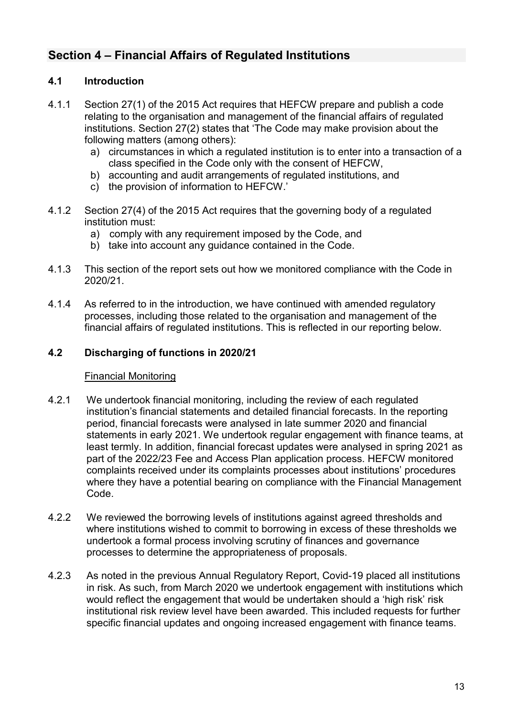# <span id="page-13-0"></span>**Section 4 – Financial Affairs of Regulated Institutions**

# <span id="page-13-1"></span>**4.1 Introduction**

- 4.1.1 Section 27(1) of the 2015 Act requires that HEFCW prepare and publish a code relating to the organisation and management of the financial affairs of regulated institutions. Section 27(2) states that 'The Code may make provision about the following matters (among others):
	- a) circumstances in which a regulated institution is to enter into a transaction of a class specified in the Code only with the consent of HEFCW,
	- b) accounting and audit arrangements of regulated institutions, and
	- c) the provision of information to HEFCW.'
- 4.1.2 Section 27(4) of the 2015 Act requires that the governing body of a regulated institution must:
	- a) comply with any requirement imposed by the Code, and
	- b) take into account any guidance contained in the Code.
- 4.1.3 This section of the report sets out how we monitored compliance with the Code in 2020/21.
- 4.1.4 As referred to in the introduction, we have continued with amended regulatory processes, including those related to the organisation and management of the financial affairs of regulated institutions. This is reflected in our reporting below.

## <span id="page-13-2"></span>**4.2 Discharging of functions in 2020/21**

## Financial Monitoring

- 4.2.1 We undertook financial monitoring, including the review of each regulated institution's financial statements and detailed financial forecasts. In the reporting period, financial forecasts were analysed in late summer 2020 and financial statements in early 2021. We undertook regular engagement with finance teams, at least termly. In addition, financial forecast updates were analysed in spring 2021 as part of the 2022/23 Fee and Access Plan application process. HEFCW monitored complaints received under its complaints processes about institutions' procedures where they have a potential bearing on compliance with the Financial Management Code.
- 4.2.2 We reviewed the borrowing levels of institutions against agreed thresholds and where institutions wished to commit to borrowing in excess of these thresholds we undertook a formal process involving scrutiny of finances and governance processes to determine the appropriateness of proposals.
- 4.2.3 As noted in the previous Annual Regulatory Report, Covid-19 placed all institutions in risk. As such, from March 2020 we undertook engagement with institutions which would reflect the engagement that would be undertaken should a 'high risk' risk institutional risk review level have been awarded. This included requests for further specific financial updates and ongoing increased engagement with finance teams.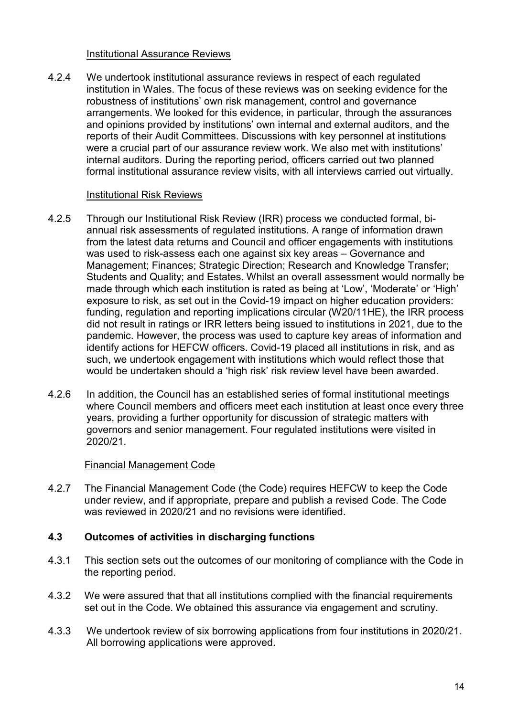#### Institutional Assurance Reviews

4.2.4 We undertook institutional assurance reviews in respect of each regulated institution in Wales. The focus of these reviews was on seeking evidence for the robustness of institutions' own risk management, control and governance arrangements. We looked for this evidence, in particular, through the assurances and opinions provided by institutions' own internal and external auditors, and the reports of their Audit Committees. Discussions with key personnel at institutions were a crucial part of our assurance review work. We also met with institutions' internal auditors. During the reporting period, officers carried out two planned formal institutional assurance review visits, with all interviews carried out virtually.

#### Institutional Risk Reviews

- 4.2.5 Through our Institutional Risk Review (IRR) process we conducted formal, biannual risk assessments of regulated institutions. A range of information drawn from the latest data returns and Council and officer engagements with institutions was used to risk-assess each one against six key areas – Governance and Management; Finances; Strategic Direction; Research and Knowledge Transfer; Students and Quality; and Estates. Whilst an overall assessment would normally be made through which each institution is rated as being at 'Low', 'Moderate' or 'High' exposure to risk, as set out in the Covid-19 impact on higher education providers: funding, regulation and reporting implications circular (W20/11HE), the IRR process did not result in ratings or IRR letters being issued to institutions in 2021, due to the pandemic. However, the process was used to capture key areas of information and identify actions for HEFCW officers. Covid-19 placed all institutions in risk, and as such, we undertook engagement with institutions which would reflect those that would be undertaken should a 'high risk' risk review level have been awarded.
- 4.2.6 In addition, the Council has an established series of formal institutional meetings where Council members and officers meet each institution at least once every three years, providing a further opportunity for discussion of strategic matters with governors and senior management. Four regulated institutions were visited in 2020/21.

#### Financial Management Code

4.2.7 The Financial Management Code (the Code) requires HEFCW to keep the Code under review, and if appropriate, prepare and publish a revised Code. The Code was reviewed in 2020/21 and no revisions were identified

#### <span id="page-14-0"></span>**4.3 Outcomes of activities in discharging functions**

- 4.3.1 This section sets out the outcomes of our monitoring of compliance with the Code in the reporting period.
- 4.3.2 We were assured that that all institutions complied with the financial requirements set out in the Code. We obtained this assurance via engagement and scrutiny.
- 4.3.3 We undertook review of six borrowing applications from four institutions in 2020/21. All borrowing applications were approved.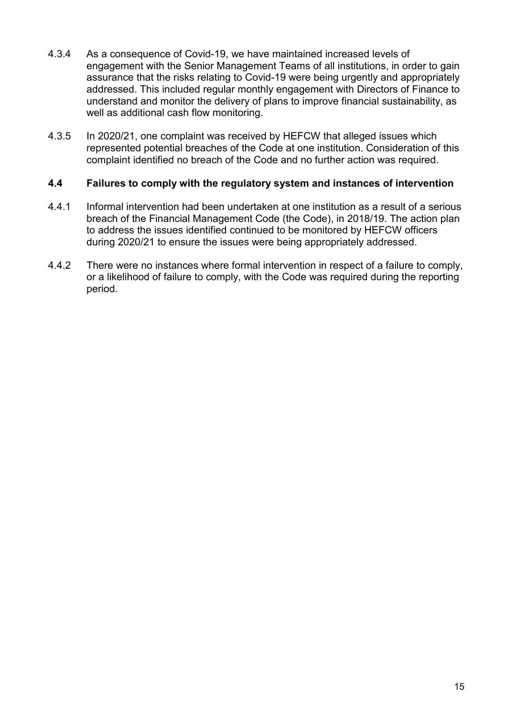- 4.3.4 As a consequence of Covid-19, we have maintained increased levels of engagement with the Senior Management Teams of all institutions, in order to gain assurance that the risks relating to Covid-19 were being urgently and appropriately addressed. This included regular monthly engagement with Directors of Finance to understand and monitor the delivery of plans to improve financial sustainability, as well as additional cash flow monitoring.
- 4.3.5 In 2020/21, one complaint was received by HEFCW that alleged issues which represented potential breaches of the Code at one institution. Consideration of this complaint identified no breach of the Code and no further action was required.

#### <span id="page-15-0"></span>**4.4 Failures to comply with the regulatory system and instances of intervention**

- 4.4.1 Informal intervention had been undertaken at one institution as a result of a serious breach of the Financial Management Code (the Code), in 2018/19. The action plan to address the issues identified continued to be monitored by HEFCW officers during 2020/21 to ensure the issues were being appropriately addressed.
- 4.4.2 There were no instances where formal intervention in respect of a failure to comply, or a likelihood of failure to comply, with the Code was required during the reporting period.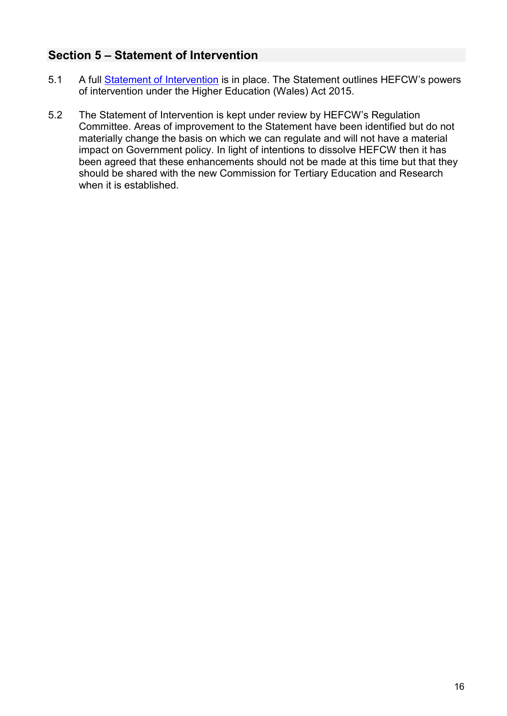# <span id="page-16-0"></span>**Section 5 – Statement of Intervention**

- 5.1 A full [Statement of Intervention](https://www.hefcw.ac.uk/en/publications/circulars/w16-37he-statement-of-intervention/) is in place. The Statement outlines HEFCW's powers of intervention under the Higher Education (Wales) Act 2015.
- 5.2 The Statement of Intervention is kept under review by HEFCW's Regulation Committee. Areas of improvement to the Statement have been identified but do not materially change the basis on which we can regulate and will not have a material impact on Government policy. In light of intentions to dissolve HEFCW then it has been agreed that these enhancements should not be made at this time but that they should be shared with the new Commission for Tertiary Education and Research when it is established.